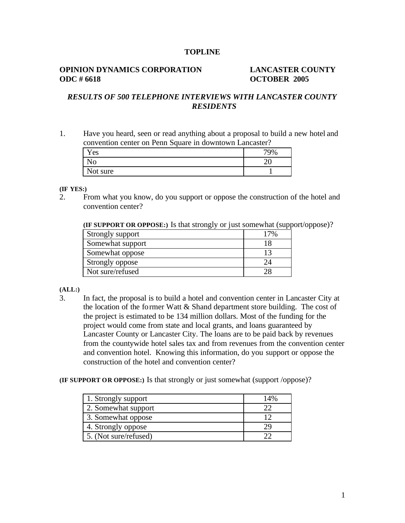### **TOPLINE**

## **OPINION DYNAMICS CORPORATION LANCASTER COUNTY ODC # 6618 OCTOBER 2005**

# *RESULTS OF 500 TELEPHONE INTERVIEWS WITH LANCASTER COUNTY RESIDENTS*

1. Have you heard, seen or read anything about a proposal to build a new hotel and convention center on Penn Square in downtown Lancaster?

| Yes      | 79% |
|----------|-----|
| No       |     |
| Not sure |     |

#### **(IF YES:)**

2. From what you know, do you support or oppose the construction of the hotel and convention center?

**(IF SUPPORT OR OPPOSE:)** Is that strongly or just somewhat (support/oppose)?

| Strongly support | 17% |
|------------------|-----|
| Somewhat support |     |
| Somewhat oppose  | 13  |
| Strongly oppose  |     |
| Not sure/refused |     |

#### **(ALL:)**

3. In fact, the proposal is to build a hotel and convention center in Lancaster City at the location of the former Watt & Shand department store building. The cost of the project is estimated to be 134 million dollars. Most of the funding for the project would come from state and local grants, and loans guaranteed by Lancaster County or Lancaster City. The loans are to be paid back by revenues from the countywide hotel sales tax and from revenues from the convention center and convention hotel. Knowing this information, do you support or oppose the construction of the hotel and convention center?

#### **(IF SUPPORT OR OPPOSE:)** Is that strongly or just somewhat (support /oppose)?

| 1. Strongly support   | 14% |
|-----------------------|-----|
| 2. Somewhat support   |     |
| 3. Somewhat oppose    | ר ו |
| 4. Strongly oppose    | 29  |
| 5. (Not sure/refused) |     |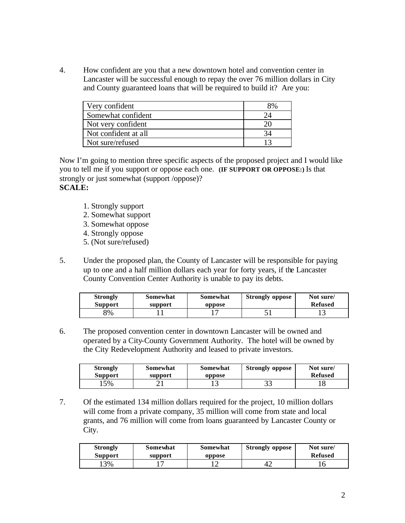4. How confident are you that a new downtown hotel and convention center in Lancaster will be successful enough to repay the over 76 million dollars in City and County guaranteed loans that will be required to build it? Are you:

| Very confident       | 8% |
|----------------------|----|
| Somewhat confident   |    |
| Not very confident   |    |
| Not confident at all |    |
| Not sure/refused     |    |

Now I'm going to mention three specific aspects of the proposed project and I would like you to tell me if you support or oppose each one. **(IF SUPPORT OR OPPOSE:)** Is that strongly or just somewhat (support /oppose)? **SCALE:**

- 1. Strongly support
- 2. Somewhat support
- 3. Somewhat oppose
- 4. Strongly oppose
- 5. (Not sure/refused)
- 5. Under the proposed plan, the County of Lancaster will be responsible for paying up to one and a half million dollars each year for forty years, if the Lancaster County Convention Center Authority is unable to pay its debts.

| <b>Strongly</b> | Somewhat | Somewhat | <b>Strongly oppose</b> | Not sure/      |
|-----------------|----------|----------|------------------------|----------------|
| <b>Support</b>  | support  | oppose   |                        | <b>Refused</b> |
| 8%              |          |          |                        |                |

6. The proposed convention center in downtown Lancaster will be owned and operated by a City-County Government Authority. The hotel will be owned by the City Redevelopment Authority and leased to private investors.

| <b>Strongly</b> | Somewhat | Somewhat | <b>Strongly oppose</b> | Not sure/      |
|-----------------|----------|----------|------------------------|----------------|
| <b>Support</b>  | support  | oppose   |                        | <b>Refused</b> |
| 15%             | `        | . .      | ⌒ /<br>ر_ ر_           |                |

7. Of the estimated 134 million dollars required for the project, 10 million dollars will come from a private company, 35 million will come from state and local grants, and 76 million will come from loans guaranteed by Lancaster County or City.

| <b>Strongly</b> | Somewhat | Somewhat | <b>Strongly oppose</b> | Not sure/      |
|-----------------|----------|----------|------------------------|----------------|
| <b>Support</b>  | support  | oppose   |                        | <b>Refused</b> |
| 3%              |          |          |                        |                |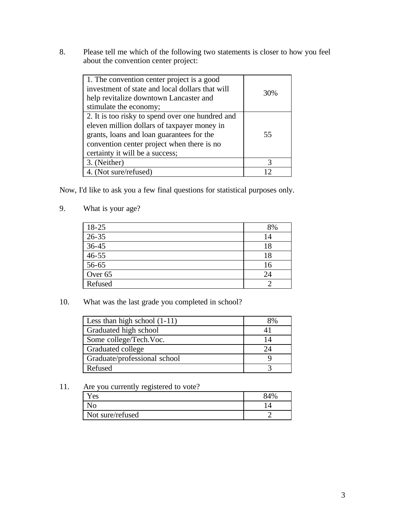8. Please tell me which of the following two statements is closer to how you feel about the convention center project:

| 1. The convention center project is a good<br>investment of state and local dollars that will<br>help revitalize downtown Lancaster and                                                                                       | 30% |
|-------------------------------------------------------------------------------------------------------------------------------------------------------------------------------------------------------------------------------|-----|
| stimulate the economy;                                                                                                                                                                                                        |     |
| 2. It is too risky to spend over one hundred and<br>eleven million dollars of taxpayer money in<br>grants, loans and loan guarantees for the<br>convention center project when there is no<br>certainty it will be a success; | 55  |
| 3. (Neither)                                                                                                                                                                                                                  | 3   |
| 4. (Not sure/refused)                                                                                                                                                                                                         |     |

Now, I'd like to ask you a few final questions for statistical purposes only.

9. What is your age?

| $18 - 25$ | 8% |
|-----------|----|
| $26 - 35$ | 14 |
| 36-45     | 18 |
| $46 - 55$ | 18 |
| 56-65     | 16 |
| Over 65   | 24 |
| Refused   |    |

10. What was the last grade you completed in school?

| Less than high school $(1-11)$ | 8% |
|--------------------------------|----|
| Graduated high school          |    |
| Some college/Tech.Voc.         | 14 |
| Graduated college              | 24 |
| Graduate/professional school   |    |
| Refused                        |    |

11. Are you currently registered to vote?

| Yes                | 84% |
|--------------------|-----|
| $\overline{N_{O}}$ |     |
| Not sure/refused   |     |